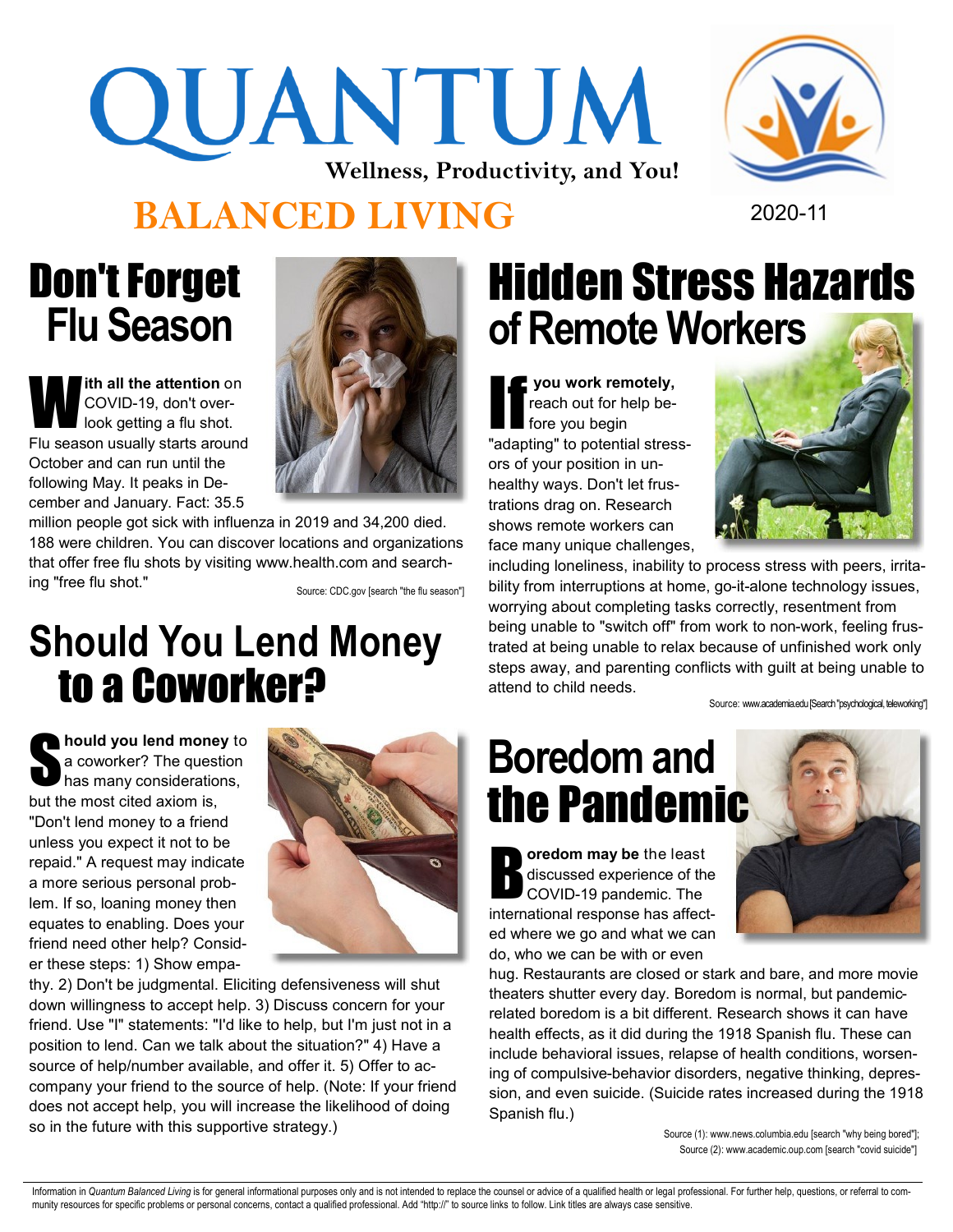# QUANTUM **Wellness, Productivity, and You!**



#### **BALANCED LIVING** 2020-11

## Don't Forget  **Flu Season**

W **ith all the attention** on COVID-19, don't overlook getting a flu shot. Flu season usually starts around October and can run until the following May. It peaks in December and January. Fact: 35.5



million people got sick with influenza in 2019 and 34,200 died. 188 were children. You can discover locations and organizations that offer free flu shots by visiting www.health.com and searching "free flu shot."

Source: CDC.gov [search "the flu season"]

#### **Should You Lend Money** to a Coworker?

**hould you lend money to<br>a coworker? The question<br>has many considerations,** a coworker? The question has many considerations, but the most cited axiom is, "Don't lend money to a friend unless you expect it not to be repaid." A request may indicate a more serious personal problem. If so, loaning money then equates to enabling. Does your friend need other help? Consider these steps: 1) Show empa-



thy. 2) Don't be judgmental. Eliciting defensiveness will shut down willingness to accept help. 3) Discuss concern for your friend. Use "I" statements: "I'd like to help, but I'm just not in a position to lend. Can we talk about the situation?" 4) Have a source of help/number available, and offer it. 5) Offer to accompany your friend to the source of help. (Note: If your friend does not accept help, you will increase the likelihood of doing so in the future with this supportive strategy.)

# Hidden Stress Hazards **of Remote Workers**

**you work remotely,** reach out for help before you begin "adapting" to potential stressors of your position in unhealthy ways. Don't let frustrations drag on. Research shows remote workers can face many unique challenges,



including loneliness, inability to process stress with peers, irritability from interruptions at home, go-it-alone technology issues, worrying about completing tasks correctly, resentment from being unable to "switch off" from work to non-work, feeling frustrated at being unable to relax because of unfinished work only steps away, and parenting conflicts with guilt at being unable to attend to child needs.

Source: www.academia.edu [Search "psychological, teleworking"]

# **Boredom and**  the Pandemic

**b** oredom may be the least<br>discussed experience of the<br>COVID-19 pandemic. The discussed experience of the COVID-19 pandemic. The international response has affected where we go and what we can do, who we can be with or even



hug. Restaurants are closed or stark and bare, and more movie theaters shutter every day. Boredom is normal, but pandemicrelated boredom is a bit different. Research shows it can have health effects, as it did during the 1918 Spanish flu. These can include behavioral issues, relapse of health conditions, worsening of compulsive-behavior disorders, negative thinking, depression, and even suicide. (Suicide rates increased during the 1918 Spanish flu.)

> Source (1): www.news.columbia.edu [search "why being bored"]; Source (2): www.academic.oup.com [search "covid suicide"]

Information in Quantum Balanced Living is for general informational purposes only and is not intended to replace the counsel or advice of a qualified health or legal professional. For further help, questions, or referral t munity resources for specific problems or personal concerns, contact a qualified professional. Add "http://" to source links to follow. Link titles are always case sensitive.